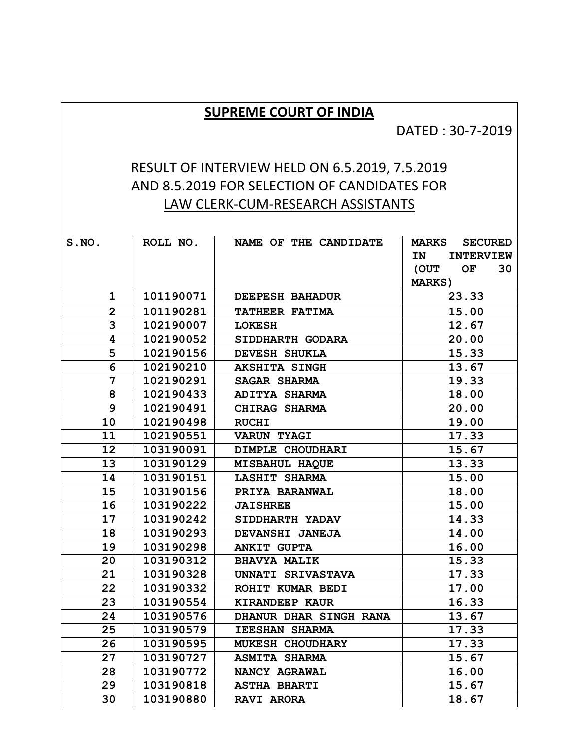## **SUPREME COURT OF INDIA**

## DATED : 30-7-2019

## RESULT OF INTERVIEW HELD ON 6.5.2019, 7.5.2019 AND 8.5.2019 FOR SELECTION OF CANDIDATES FOR LAW CLERK-CUM-RESEARCH ASSISTANTS

| S.NO.                   | ROLL NO.  | NAME OF THE CANDIDATE   | <b>SECURED</b><br><b>MARKS</b> |
|-------------------------|-----------|-------------------------|--------------------------------|
|                         |           |                         | IN<br><b>INTERVIEW</b>         |
|                         |           |                         | OF<br>30<br>(OUT               |
|                         |           |                         | <b>MARKS)</b>                  |
| $\mathbf 1$             | 101190071 | DEEPESH BAHADUR         | 23.33                          |
| $\overline{2}$          | 101190281 | TATHEER FATIMA          | 15.00                          |
| 3                       | 102190007 | <b>LOKESH</b>           | 12.67                          |
| $\overline{\mathbf{4}}$ | 102190052 | SIDDHARTH GODARA        | 20.00                          |
| 5                       | 102190156 | DEVESH SHUKLA           | 15.33                          |
| 6                       | 102190210 | <b>AKSHITA SINGH</b>    | 13.67                          |
| 7                       | 102190291 | <b>SAGAR SHARMA</b>     | 19.33                          |
| 8                       | 102190433 | ADITYA SHARMA           | 18.00                          |
| 9                       | 102190491 | CHIRAG SHARMA           | 20.00                          |
| 10                      | 102190498 | <b>RUCHI</b>            | 19.00                          |
| 11                      | 102190551 | <b>VARUN TYAGI</b>      | 17.33                          |
| 12                      | 103190091 | DIMPLE CHOUDHARI        | 15.67                          |
| 13                      | 103190129 | MISBAHUL HAQUE          | 13.33                          |
| 14                      | 103190151 | <b>LASHIT SHARMA</b>    | 15.00                          |
| 15                      | 103190156 | PRIYA BARANWAL          | 18.00                          |
| 16                      | 103190222 | <b>JAISHREE</b>         | 15.00                          |
| 17                      | 103190242 | SIDDHARTH YADAV         | 14.33                          |
| 18                      | 103190293 | DEVANSHI JANEJA         | 14.00                          |
| 19                      | 103190298 | <b>ANKIT GUPTA</b>      | 16.00                          |
| 20                      | 103190312 | <b>BHAVYA MALIK</b>     | 15.33                          |
| 21                      | 103190328 | UNNATI SRIVASTAVA       | 17.33                          |
| 22                      | 103190332 | ROHIT KUMAR BEDI        | 17.00                          |
| 23                      | 103190554 | KIRANDEEP KAUR          | 16.33                          |
| 24                      | 103190576 | DHANUR DHAR SINGH RANA  | 13.67                          |
| 25                      | 103190579 | <b>IEESHAN SHARMA</b>   | 17.33                          |
| 26                      | 103190595 | <b>MUKESH CHOUDHARY</b> | 17.33                          |
| 27                      | 103190727 | <b>ASMITA SHARMA</b>    | 15.67                          |
| 28                      | 103190772 | NANCY AGRAWAL           | 16.00                          |
| 29                      | 103190818 | <b>ASTHA BHARTI</b>     | 15.67                          |
| 30                      | 103190880 | <b>RAVI ARORA</b>       | 18.67                          |